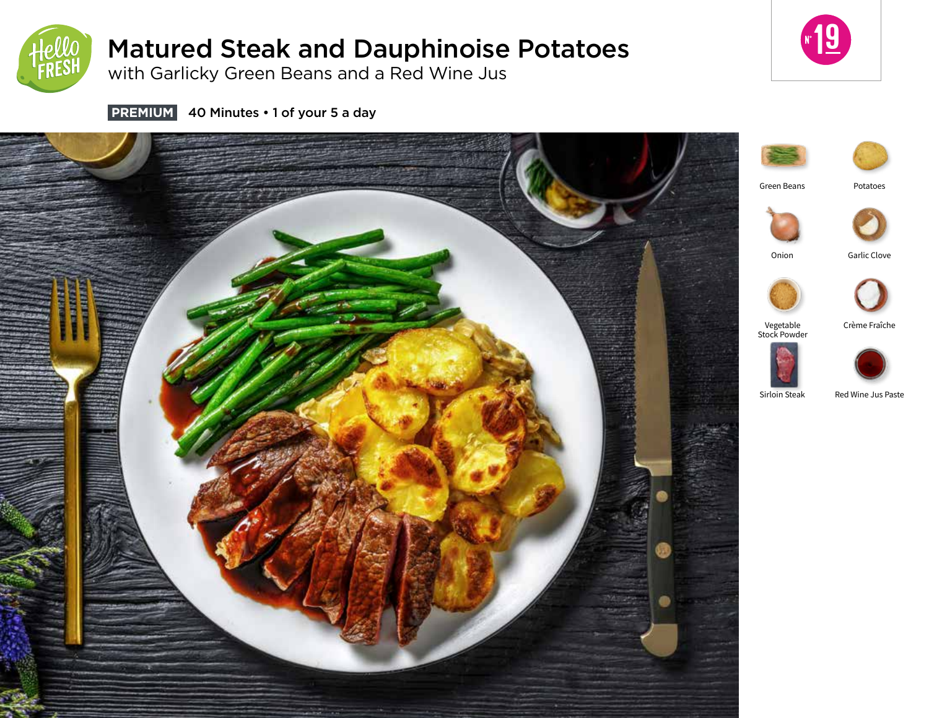

# Matured Steak and Dauphinoise Potatoes

with Garlicky Green Beans and a Red Wine Jus



**PREMIUM** 40 Minutes • 1 of your 5 a day